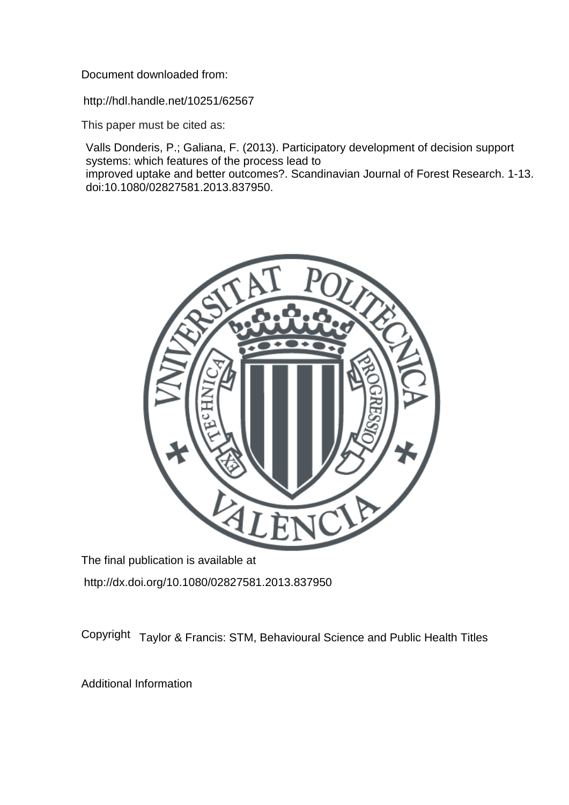Document downloaded from:

http://hdl.handle.net/10251/62567

This paper must be cited as:

Valls Donderis, P.; Galiana, F. (2013). Participatory development of decision support systems: which features of the process lead to improved uptake and better outcomes?. Scandinavian Journal of Forest Research. 1-13. doi:10.1080/02827581.2013.837950.



The final publication is available at http://dx.doi.org/10.1080/02827581.2013.837950

Copyright Taylor & Francis: STM, Behavioural Science and Public Health Titles

Additional Information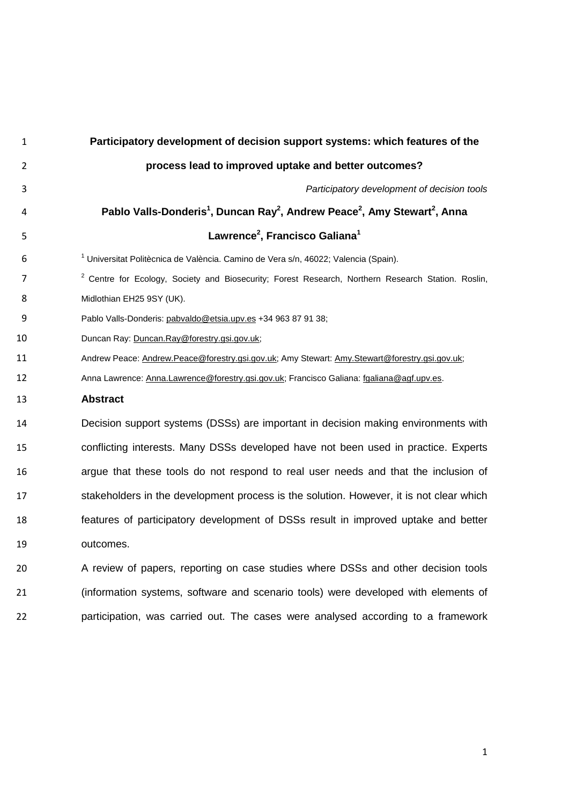| $\mathbf{1}$   | Participatory development of decision support systems: which features of the                                              |
|----------------|---------------------------------------------------------------------------------------------------------------------------|
| $\overline{2}$ | process lead to improved uptake and better outcomes?                                                                      |
| 3              | Participatory development of decision tools                                                                               |
| 4              | Pablo Valls-Donderis <sup>1</sup> , Duncan Ray <sup>2</sup> , Andrew Peace <sup>2</sup> , Amy Stewart <sup>2</sup> , Anna |
| 5              | Lawrence <sup>2</sup> , Francisco Galiana <sup>1</sup>                                                                    |
| 6              | <sup>1</sup> Universitat Politècnica de València. Camino de Vera s/n, 46022; Valencia (Spain).                            |
| 7              | <sup>2</sup> Centre for Ecology, Society and Biosecurity; Forest Research, Northern Research Station. Roslin,             |
| 8              | Midlothian EH25 9SY (UK).                                                                                                 |
| 9              | Pablo Valls-Donderis: pabvaldo@etsia.upv.es +34 963 87 91 38;                                                             |
| 10             | Duncan Ray: Duncan.Ray@forestry.gsi.gov.uk;                                                                               |
| 11             | Andrew Peace: Andrew.Peace@forestry.gsi.gov.uk; Amy Stewart: Amy.Stewart@forestry.gsi.gov.uk;                             |
| 12             | Anna Lawrence: Anna.Lawrence@forestry.gsi.gov.uk; Francisco Galiana: fgaliana@agf.upv.es.                                 |
| 13             | <b>Abstract</b>                                                                                                           |
| 14             | Decision support systems (DSSs) are important in decision making environments with                                        |
| 15             | conflicting interests. Many DSSs developed have not been used in practice. Experts                                        |
| 16             | argue that these tools do not respond to real user needs and that the inclusion of                                        |
| 17             | stakeholders in the development process is the solution. However, it is not clear which                                   |
| 18             | features of participatory development of DSSs result in improved uptake and better                                        |
| 19             | outcomes.                                                                                                                 |
| 20             | A review of papers, reporting on case studies where DSSs and other decision tools                                         |
| 21             | (information systems, software and scenario tools) were developed with elements of                                        |
| 22             | participation, was carried out. The cases were analysed according to a framework                                          |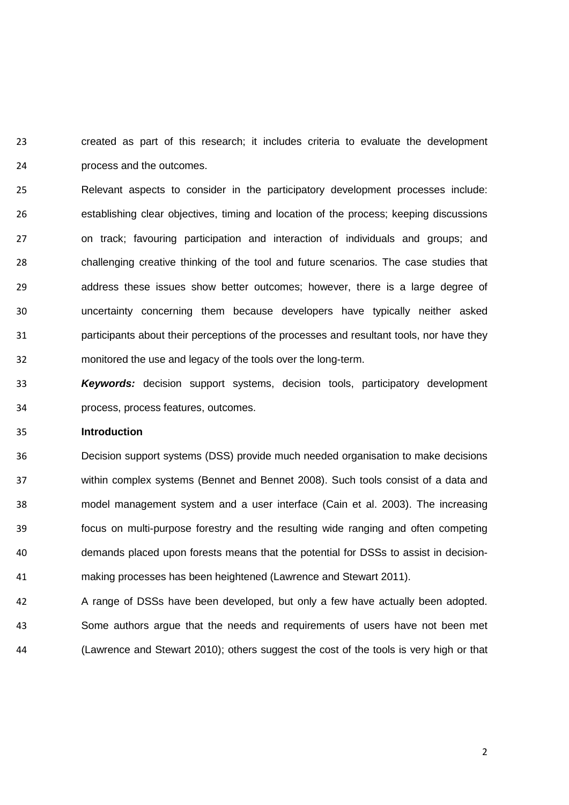created as part of this research; it includes criteria to evaluate the development process and the outcomes.

 Relevant aspects to consider in the participatory development processes include: establishing clear objectives, timing and location of the process; keeping discussions on track; favouring participation and interaction of individuals and groups; and challenging creative thinking of the tool and future scenarios. The case studies that address these issues show better outcomes; however, there is a large degree of uncertainty concerning them because developers have typically neither asked participants about their perceptions of the processes and resultant tools, nor have they monitored the use and legacy of the tools over the long-term.

 *Keywords:* decision support systems, decision tools, participatory development process, process features, outcomes.

## **Introduction**

 Decision support systems (DSS) provide much needed organisation to make decisions within complex systems (Bennet and Bennet 2008). Such tools consist of a data and model management system and a user interface (Cain et al. 2003). The increasing focus on multi-purpose forestry and the resulting wide ranging and often competing demands placed upon forests means that the potential for DSSs to assist in decision-making processes has been heightened (Lawrence and Stewart 2011).

 A range of DSSs have been developed, but only a few have actually been adopted. Some authors argue that the needs and requirements of users have not been met (Lawrence and Stewart 2010); others suggest the cost of the tools is very high or that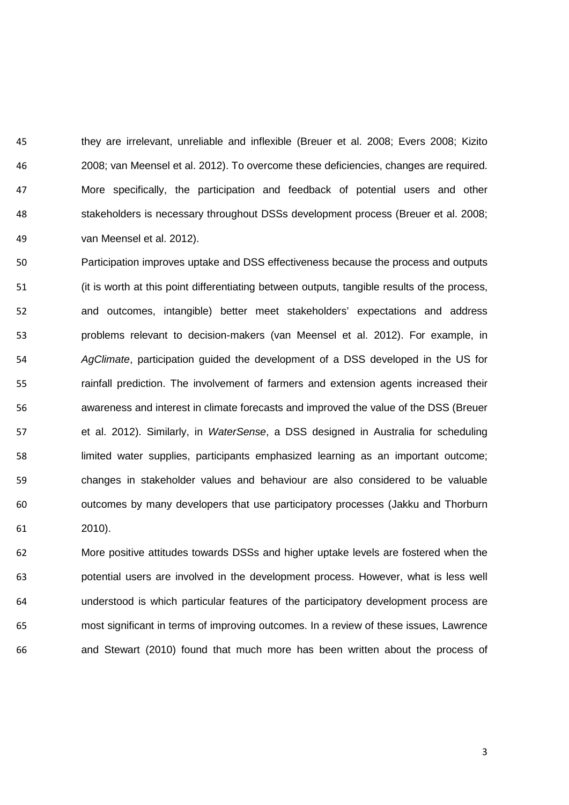they are irrelevant, unreliable and inflexible (Breuer et al. 2008; Evers 2008; Kizito 2008; van Meensel et al. 2012). To overcome these deficiencies, changes are required. More specifically, the participation and feedback of potential users and other stakeholders is necessary throughout DSSs development process (Breuer et al. 2008; van Meensel et al. 2012).

 Participation improves uptake and DSS effectiveness because the process and outputs (it is worth at this point differentiating between outputs, tangible results of the process, and outcomes, intangible) better meet stakeholders' expectations and address problems relevant to decision-makers (van Meensel et al. 2012). For example, in *AgClimate*, participation guided the development of a DSS developed in the US for rainfall prediction. The involvement of farmers and extension agents increased their awareness and interest in climate forecasts and improved the value of the DSS (Breuer et al. 2012). Similarly, in *WaterSense*, a DSS designed in Australia for scheduling limited water supplies, participants emphasized learning as an important outcome; changes in stakeholder values and behaviour are also considered to be valuable outcomes by many developers that use participatory processes (Jakku and Thorburn 2010).

 More positive attitudes towards DSSs and higher uptake levels are fostered when the potential users are involved in the development process. However, what is less well understood is which particular features of the participatory development process are most significant in terms of improving outcomes. In a review of these issues, Lawrence and Stewart (2010) found that much more has been written about the process of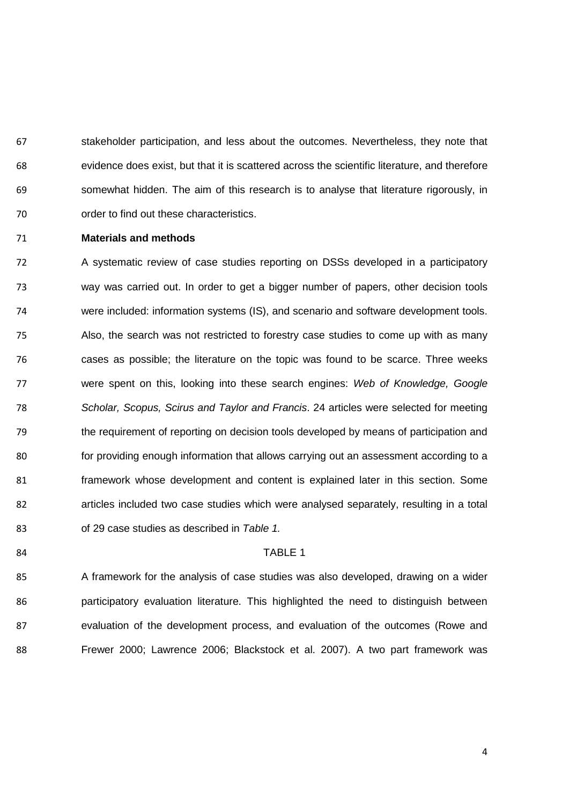stakeholder participation, and less about the outcomes. Nevertheless, they note that evidence does exist, but that it is scattered across the scientific literature, and therefore somewhat hidden. The aim of this research is to analyse that literature rigorously, in order to find out these characteristics.

# **Materials and methods**

 A systematic review of case studies reporting on DSSs developed in a participatory way was carried out. In order to get a bigger number of papers, other decision tools were included: information systems (IS), and scenario and software development tools. Also, the search was not restricted to forestry case studies to come up with as many cases as possible; the literature on the topic was found to be scarce. Three weeks were spent on this, looking into these search engines: *Web of Knowledge, Google Scholar, Scopus, Scirus and Taylor and Francis*. 24 articles were selected for meeting the requirement of reporting on decision tools developed by means of participation and for providing enough information that allows carrying out an assessment according to a framework whose development and content is explained later in this section. Some articles included two case studies which were analysed separately, resulting in a total of 29 case studies as described in *Table 1.*

# 84 TABLE 1

 A framework for the analysis of case studies was also developed, drawing on a wider participatory evaluation literature. This highlighted the need to distinguish between evaluation of the development process, and evaluation of the outcomes (Rowe and Frewer 2000; Lawrence 2006; Blackstock et al. 2007). A two part framework was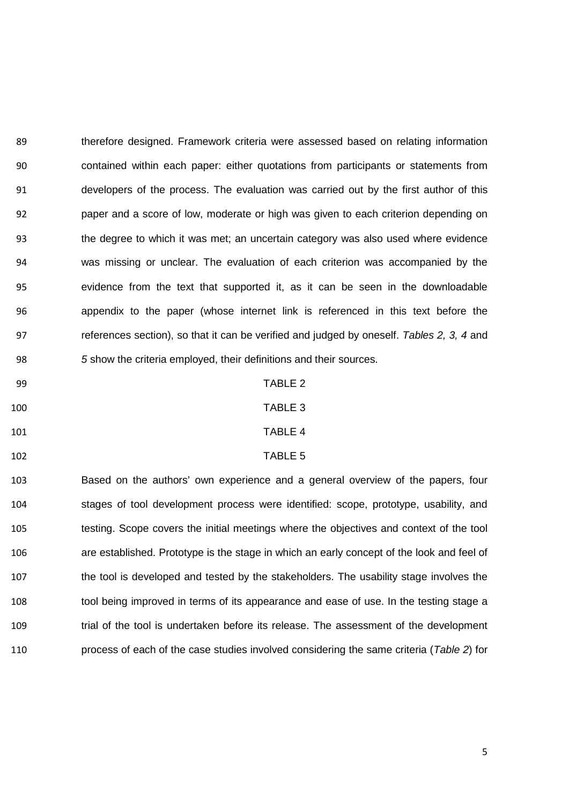therefore designed. Framework criteria were assessed based on relating information contained within each paper: either quotations from participants or statements from developers of the process. The evaluation was carried out by the first author of this paper and a score of low, moderate or high was given to each criterion depending on the degree to which it was met; an uncertain category was also used where evidence was missing or unclear. The evaluation of each criterion was accompanied by the evidence from the text that supported it, as it can be seen in the downloadable appendix to the paper (whose internet link is referenced in this text before the references section), so that it can be verified and judged by oneself. *Tables 2, 3, 4* and *5* show the criteria employed, their definitions and their sources.

- TABLE 2 TABLE 3 101 TABLE 4
- TABLE 5
- 

 Based on the authors' own experience and a general overview of the papers, four stages of tool development process were identified: scope, prototype, usability, and testing. Scope covers the initial meetings where the objectives and context of the tool are established. Prototype is the stage in which an early concept of the look and feel of the tool is developed and tested by the stakeholders. The usability stage involves the tool being improved in terms of its appearance and ease of use. In the testing stage a trial of the tool is undertaken before its release. The assessment of the development

process of each of the case studies involved considering the same criteria (*Table 2*) for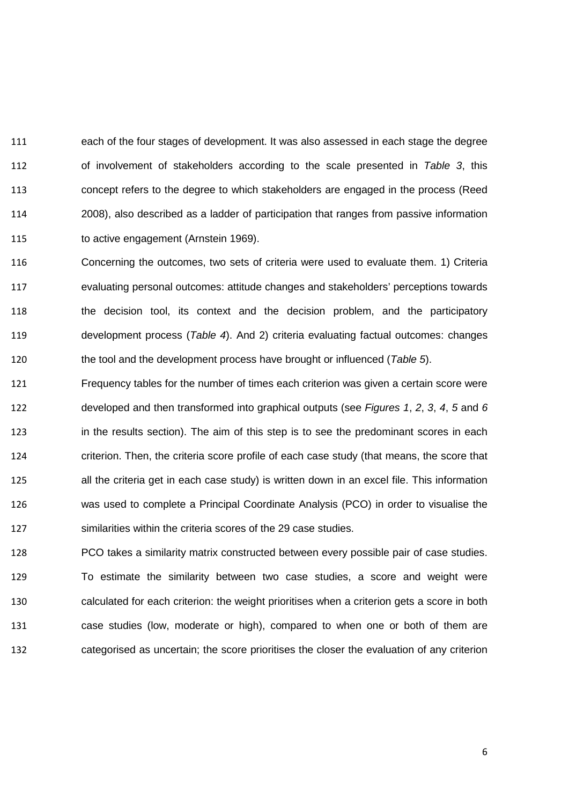each of the four stages of development. It was also assessed in each stage the degree of involvement of stakeholders according to the scale presented in *Table 3*, this concept refers to the degree to which stakeholders are engaged in the process (Reed 2008), also described as a ladder of participation that ranges from passive information to active engagement (Arnstein 1969).

 Concerning the outcomes, two sets of criteria were used to evaluate them. 1) Criteria evaluating personal outcomes: attitude changes and stakeholders' perceptions towards the decision tool, its context and the decision problem, and the participatory development process (*Table 4*). And 2) criteria evaluating factual outcomes: changes the tool and the development process have brought or influenced (*Table 5*).

 Frequency tables for the number of times each criterion was given a certain score were developed and then transformed into graphical outputs (see *Figures 1*, *2*, *3*, *4*, *5* and *6* in the results section). The aim of this step is to see the predominant scores in each criterion. Then, the criteria score profile of each case study (that means, the score that all the criteria get in each case study) is written down in an excel file. This information was used to complete a Principal Coordinate Analysis (PCO) in order to visualise the similarities within the criteria scores of the 29 case studies.

 PCO takes a similarity matrix constructed between every possible pair of case studies. To estimate the similarity between two case studies, a score and weight were calculated for each criterion: the weight prioritises when a criterion gets a score in both case studies (low, moderate or high), compared to when one or both of them are categorised as uncertain; the score prioritises the closer the evaluation of any criterion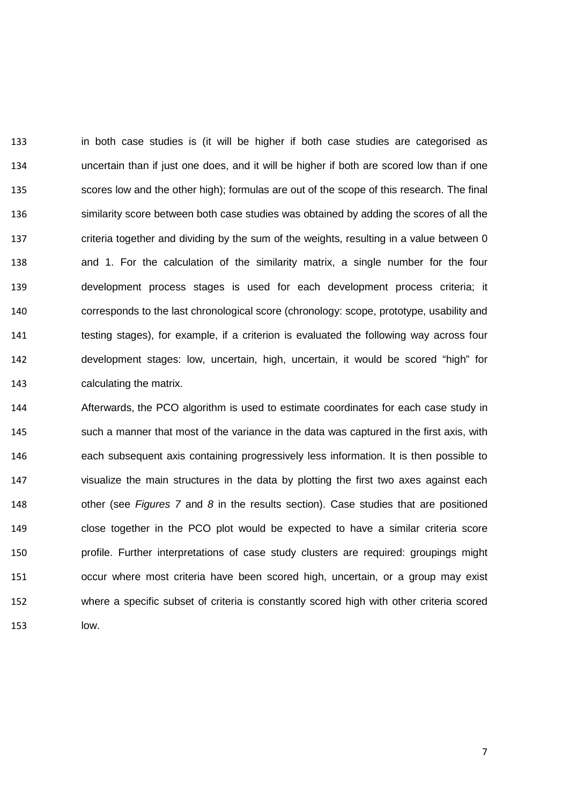in both case studies is (it will be higher if both case studies are categorised as uncertain than if just one does, and it will be higher if both are scored low than if one scores low and the other high); formulas are out of the scope of this research. The final 136 similarity score between both case studies was obtained by adding the scores of all the criteria together and dividing by the sum of the weights, resulting in a value between 0 and 1. For the calculation of the similarity matrix, a single number for the four development process stages is used for each development process criteria; it corresponds to the last chronological score (chronology: scope, prototype, usability and testing stages), for example, if a criterion is evaluated the following way across four development stages: low, uncertain, high, uncertain, it would be scored "high" for calculating the matrix.

 Afterwards, the PCO algorithm is used to estimate coordinates for each case study in such a manner that most of the [variance](http://en.wikipedia.org/wiki/Variance) in the data was captured in the first [axis,](http://en.wikipedia.org/wiki/Cartesian_coordinate_system) with each subsequent axis containing progressively less information. It is then possible to visualize the main structures in the data by plotting the first two axes against each other (see *Figures 7* and *8* in the results section). Case studies that are positioned close together in the PCO plot would be expected to have a similar criteria score profile. Further interpretations of case study clusters are required: groupings might occur where most criteria have been scored high, uncertain, or a group may exist where a specific subset of criteria is constantly scored high with other criteria scored low.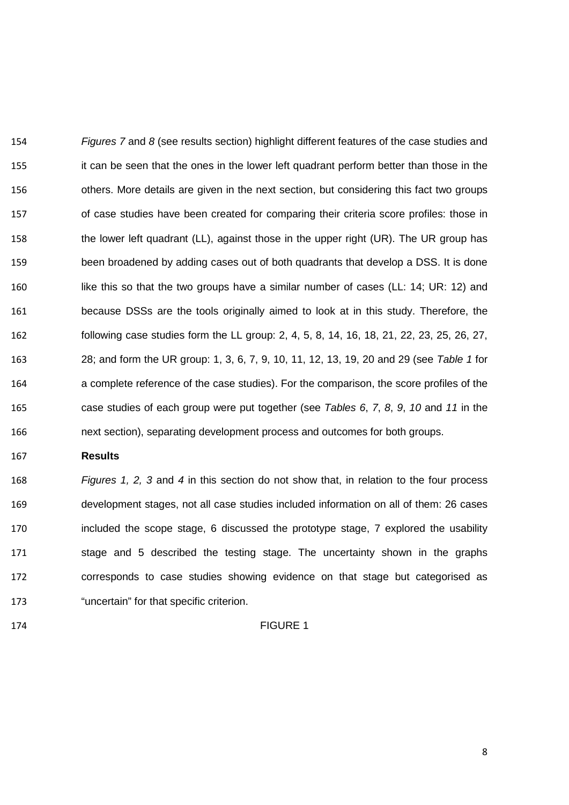*Figures 7* and *8* (see results section) highlight different features of the case studies and it can be seen that the ones in the lower left quadrant perform better than those in the others. More details are given in the next section, but considering this fact two groups of case studies have been created for comparing their criteria score profiles: those in the lower left quadrant (LL), against those in the upper right (UR). The UR group has been broadened by adding cases out of both quadrants that develop a DSS. It is done 160 like this so that the two groups have a similar number of cases (LL: 14; UR: 12) and because DSSs are the tools originally aimed to look at in this study. Therefore, the following case studies form the LL group: 2, 4, 5, 8, 14, 16, 18, 21, 22, 23, 25, 26, 27, 28; and form the UR group: 1, 3, 6, 7, 9, 10, 11, 12, 13, 19, 20 and 29 (see *Table 1* for a complete reference of the case studies). For the comparison, the score profiles of the case studies of each group were put together (see *Tables 6*, *7*, *8*, *9*, *10* and *11* in the next section), separating development process and outcomes for both groups.

# **Results**

 *Figures 1, 2, 3* and *4* in this section do not show that, in relation to the four process development stages, not all case studies included information on all of them: 26 cases included the scope stage, 6 discussed the prototype stage, 7 explored the usability 171 stage and 5 described the testing stage. The uncertainty shown in the graphs corresponds to case studies showing evidence on that stage but categorised as "uncertain" for that specific criterion.

# FIGURE 1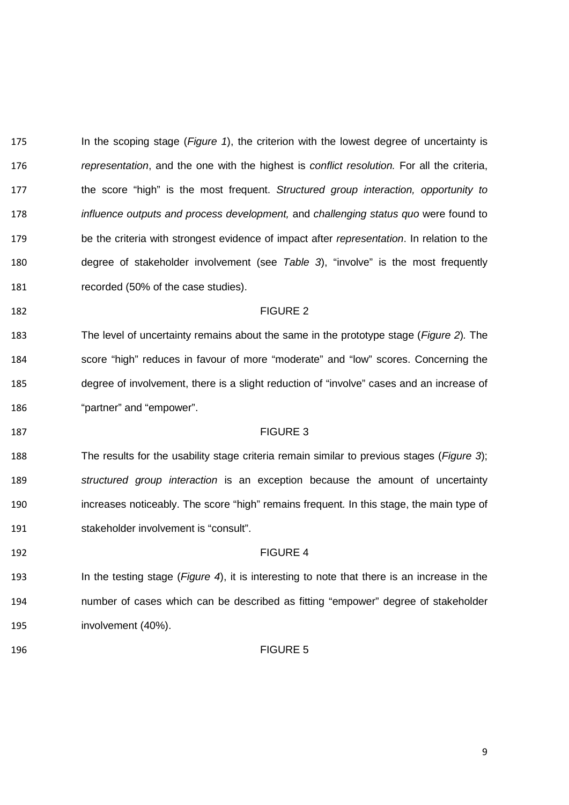In the scoping stage (*Figure 1*), the criterion with the lowest degree of uncertainty is *representation*, and the one with the highest is *conflict resolution.* For all the criteria, the score "high" is the most frequent. *Structured group interaction, opportunity to influence outputs and process development,* and *challenging status quo* were found to be the criteria with strongest evidence of impact after *representation*. In relation to the degree of stakeholder involvement (see *Table 3*), "involve" is the most frequently 181 recorded (50% of the case studies).

FIGURE 2

 The level of uncertainty remains about the same in the prototype stage (*Figure 2*)*.* The score "high" reduces in favour of more "moderate" and "low" scores. Concerning the degree of involvement, there is a slight reduction of "involve" cases and an increase of "partner" and "empower".

## 187 FIGURE 3

 The results for the usability stage criteria remain similar to previous stages (*Figure 3*); *structured group interaction* is an exception because the amount of uncertainty increases noticeably. The score "high" remains frequent*.* In this stage, the main type of stakeholder involvement is "consult".

## FIGURE 4

 In the testing stage (*Figure 4*), it is interesting to note that there is an increase in the number of cases which can be described as fitting "empower" degree of stakeholder involvement (40%).

## FIGURE 5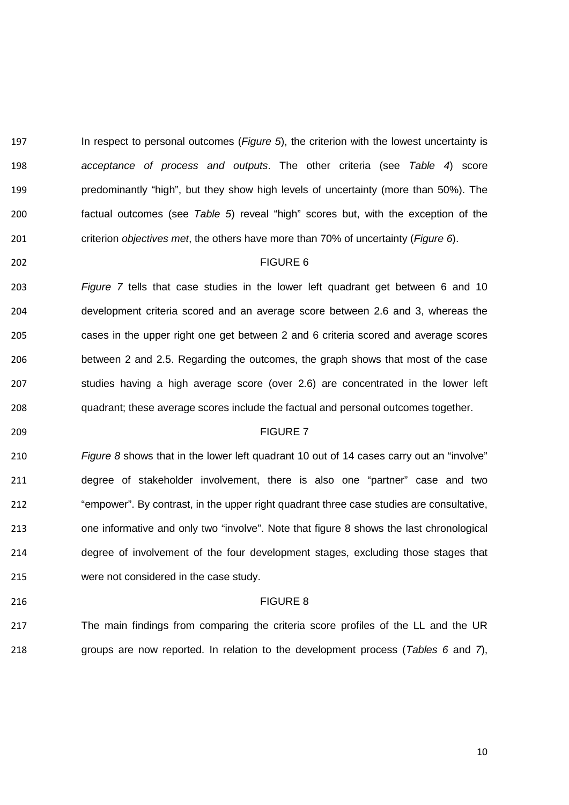In respect to personal outcomes (*Figure 5*), the criterion with the lowest uncertainty is *acceptance of process and outputs*. The other criteria (see *Table 4*) score predominantly "high", but they show high levels of uncertainty (more than 50%). The factual outcomes (see *Table 5*) reveal "high" scores but, with the exception of the criterion *objectives met*, the others have more than 70% of uncertainty (*Figure 6*).

# FIGURE 6

 *Figure 7* tells that case studies in the lower left quadrant get between 6 and 10 development criteria scored and an average score between 2.6 and 3, whereas the cases in the upper right one get between 2 and 6 criteria scored and average scores between 2 and 2.5. Regarding the outcomes, the graph shows that most of the case studies having a high average score (over 2.6) are concentrated in the lower left quadrant; these average scores include the factual and personal outcomes together.

## FIGURE 7

 *Figure 8* shows that in the lower left quadrant 10 out of 14 cases carry out an "involve" degree of stakeholder involvement, there is also one "partner" case and two "empower". By contrast, in the upper right quadrant three case studies are consultative, one informative and only two "involve". Note that figure 8 shows the last chronological degree of involvement of the four development stages, excluding those stages that were not considered in the case study.

## FIGURE 8

 The main findings from comparing the criteria score profiles of the LL and the UR groups are now reported. In relation to the development process (*Tables 6* and *7*),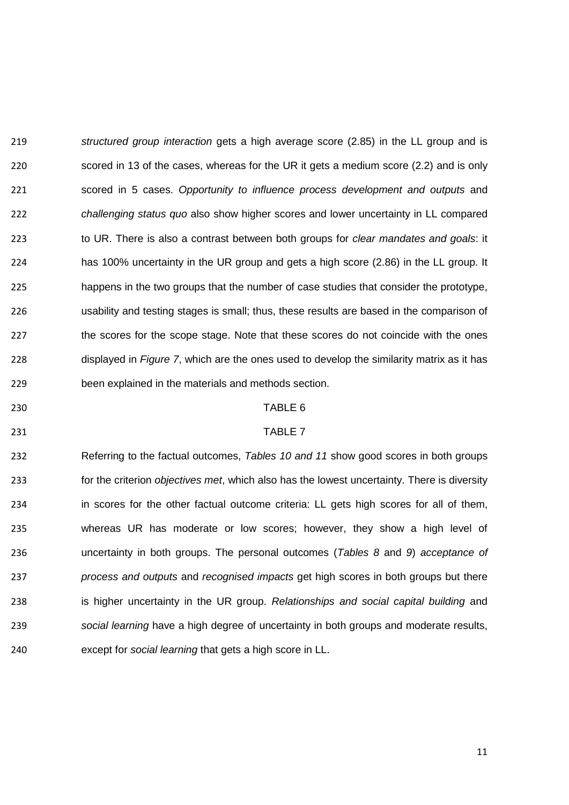*structured group interaction* gets a high average score (2.85) in the LL group and is scored in 13 of the cases, whereas for the UR it gets a medium score (2.2) and is only scored in 5 cases. *Opportunity to influence process development and outputs* and *challenging status quo* also show higher scores and lower uncertainty in LL compared to UR. There is also a contrast between both groups for *clear mandates and goals*: it has 100% uncertainty in the UR group and gets a high score (2.86) in the LL group. It happens in the two groups that the number of case studies that consider the prototype, usability and testing stages is small; thus, these results are based in the comparison of the scores for the scope stage. Note that these scores do not coincide with the ones displayed in *Figure 7*, which are the ones used to develop the similarity matrix as it has been explained in the materials and methods section.

# TABLE 6

## TABLE 7

 Referring to the factual outcomes, *Tables 10 and 11* show good scores in both groups for the criterion *objectives met*, which also has the lowest uncertainty. There is diversity in scores for the other factual outcome criteria: LL gets high scores for all of them, whereas UR has moderate or low scores; however, they show a high level of uncertainty in both groups. The personal outcomes (*Tables 8* and *9*) *acceptance of process and outputs* and *recognised impacts* get high scores in both groups but there is higher uncertainty in the UR group. *Relationships and social capital building* and *social learning* have a high degree of uncertainty in both groups and moderate results, except for *social learning* that gets a high score in LL.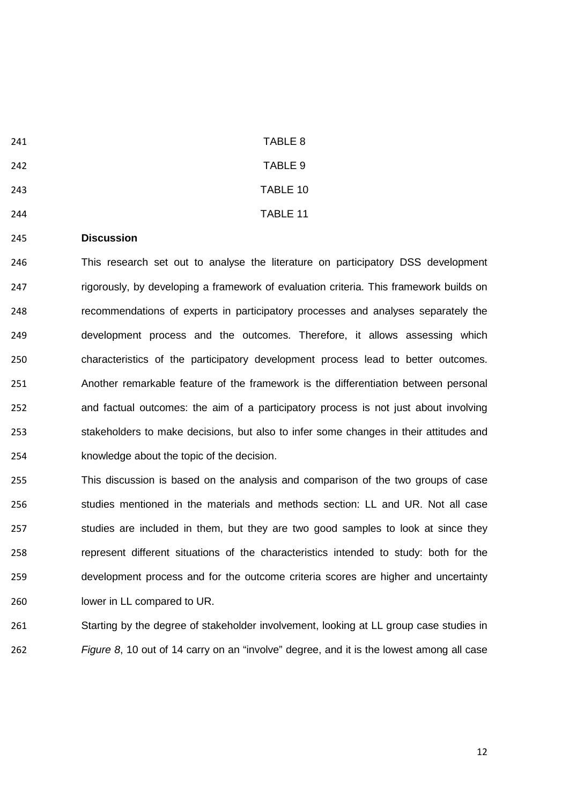TABLE 8 242 TABLE 9 TABLE 10 TABLE 11

# **Discussion**

 This research set out to analyse the literature on participatory DSS development rigorously, by developing a framework of evaluation criteria. This framework builds on recommendations of experts in participatory processes and analyses separately the development process and the outcomes. Therefore, it allows assessing which characteristics of the participatory development process lead to better outcomes. Another remarkable feature of the framework is the differentiation between personal and factual outcomes: the aim of a participatory process is not just about involving stakeholders to make decisions, but also to infer some changes in their attitudes and knowledge about the topic of the decision.

 This discussion is based on the analysis and comparison of the two groups of case studies mentioned in the materials and methods section: LL and UR. Not all case studies are included in them, but they are two good samples to look at since they represent different situations of the characteristics intended to study: both for the development process and for the outcome criteria scores are higher and uncertainty lower in LL compared to UR.

 Starting by the degree of stakeholder involvement, looking at LL group case studies in *Figure 8*, 10 out of 14 carry on an "involve" degree, and it is the lowest among all case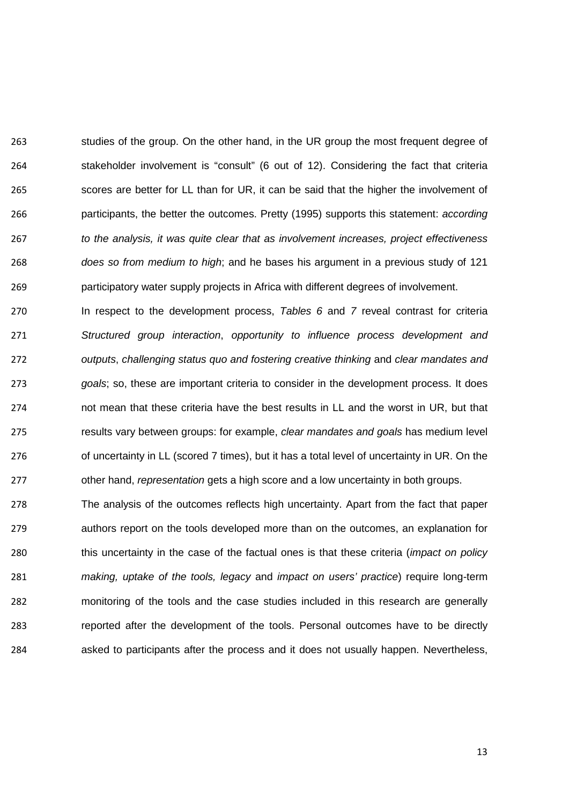studies of the group. On the other hand, in the UR group the most frequent degree of stakeholder involvement is "consult" (6 out of 12). Considering the fact that criteria scores are better for LL than for UR, it can be said that the higher the involvement of participants, the better the outcomes. Pretty (1995) supports this statement: *according to the analysis, it was quite clear that as involvement increases, project effectiveness does so from medium to high*; and he bases his argument in a previous study of 121 participatory water supply projects in Africa with different degrees of involvement.

 In respect to the development process, *Tables 6* and *7* reveal contrast for criteria *Structured group interaction*, *opportunity to influence process development and outputs*, *challenging status quo and fostering creative thinking* and *clear mandates and goals*; so, these are important criteria to consider in the development process. It does not mean that these criteria have the best results in LL and the worst in UR, but that results vary between groups: for example, *clear mandates and goals* has medium level 276 of uncertainty in LL (scored 7 times), but it has a total level of uncertainty in UR. On the other hand, *representation* gets a high score and a low uncertainty in both groups.

 The analysis of the outcomes reflects high uncertainty. Apart from the fact that paper authors report on the tools developed more than on the outcomes, an explanation for this uncertainty in the case of the factual ones is that these criteria (*impact on policy making, uptake of the tools, legacy* and *impact on users' practice*) require long-term monitoring of the tools and the case studies included in this research are generally reported after the development of the tools. Personal outcomes have to be directly asked to participants after the process and it does not usually happen. Nevertheless,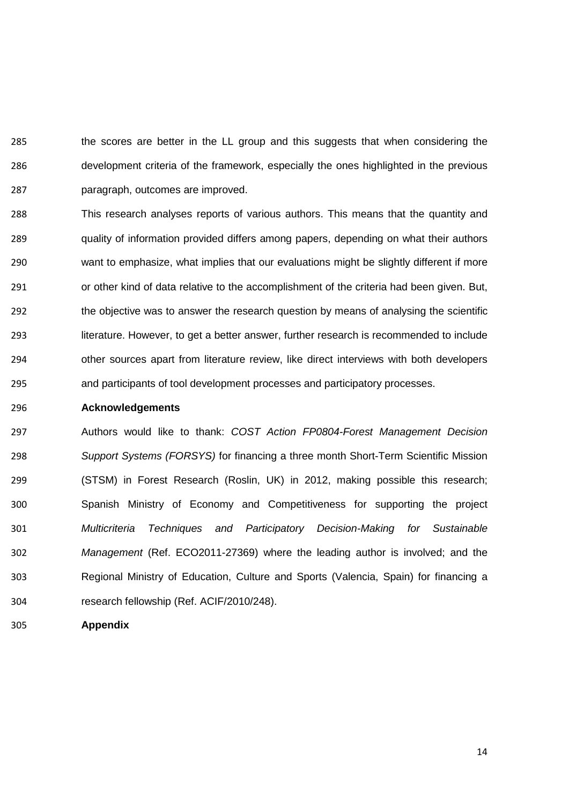the scores are better in the LL group and this suggests that when considering the development criteria of the framework, especially the ones highlighted in the previous paragraph, outcomes are improved.

 This research analyses reports of various authors. This means that the quantity and quality of information provided differs among papers, depending on what their authors want to emphasize, what implies that our evaluations might be slightly different if more or other kind of data relative to the accomplishment of the criteria had been given. But, the objective was to answer the research question by means of analysing the scientific literature. However, to get a better answer, further research is recommended to include other sources apart from literature review, like direct interviews with both developers and participants of tool development processes and participatory processes.

## **Acknowledgements**

 Authors would like to thank: *COST Action FP0804-Forest Management Decision Support Systems (FORSYS)* for financing a three month Short-Term Scientific Mission (STSM) in Forest Research (Roslin, UK) in 2012, making possible this research; Spanish Ministry of Economy and Competitiveness for supporting the project *Multicriteria Techniques and Participatory Decision-Making for Sustainable Management* (Ref. ECO2011-27369) where the leading author is involved; and the Regional Ministry of Education, Culture and Sports (Valencia, Spain) for financing a research fellowship (Ref. ACIF/2010/248).

**Appendix**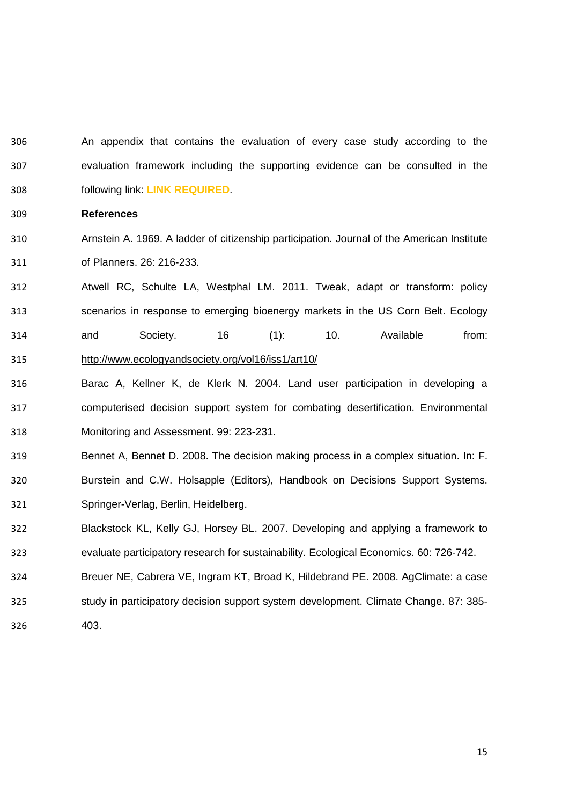An appendix that contains the evaluation of every case study according to the evaluation framework including the supporting evidence can be consulted in the following link: **LINK REQUIRED**.

**References**

- Arnstein A. 1969. A ladder of citizenship participation. Journal of the American Institute of Planners. 26: 216-233.
- Atwell RC, Schulte LA, Westphal LM. 2011. Tweak, adapt or transform: policy scenarios in response to emerging bioenergy markets in the US Corn Belt. Ecology and Society. 16 (1): 10. Available from: <http://www.ecologyandsociety.org/vol16/iss1/art10/>
- Barac A, Kellner K, de Klerk N. 2004. Land user participation in developing a computerised decision support system for combating desertification. Environmental Monitoring and Assessment. 99: 223-231.
- Bennet A, Bennet D. 2008. The decision making process in a complex situation. In: F. Burstein and C.W. Holsapple (Editors), Handbook on Decisions Support Systems. Springer-Verlag, Berlin, Heidelberg.
- Blackstock KL, Kelly GJ, Horsey BL. 2007. Developing and applying a framework to evaluate participatory research for sustainability. Ecological Economics. 60: 726-742.
- Breuer NE, Cabrera VE, Ingram KT, Broad K, Hildebrand PE. 2008. AgClimate: a case
- study in participatory decision support system development. Climate Change. 87: 385-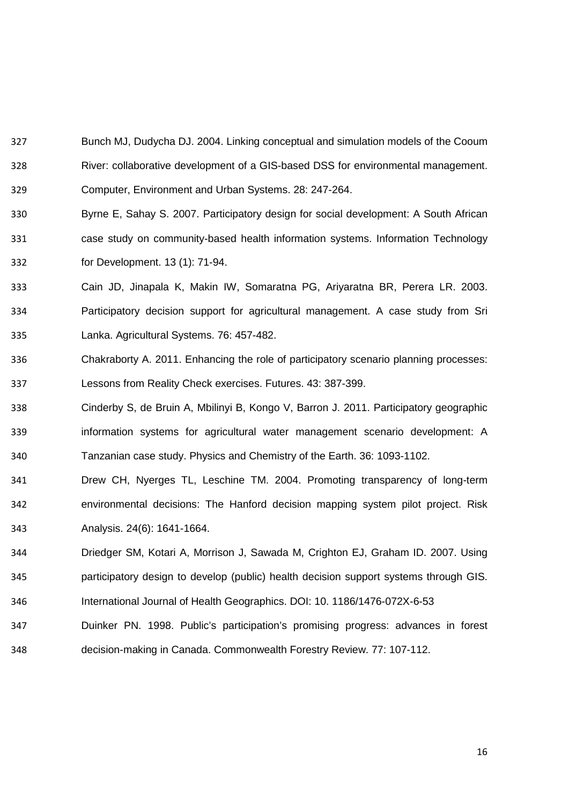- Bunch MJ, Dudycha DJ. 2004. Linking conceptual and simulation models of the Cooum River: collaborative development of a GIS-based DSS for environmental management. Computer, Environment and Urban Systems. 28: 247-264.
- Byrne E, Sahay S. 2007. Participatory design for social development: A South African case study on community-based health information systems. Information Technology for Development. 13 (1): 71-94.
- Cain JD, Jinapala K, Makin IW, Somaratna PG, Ariyaratna BR, Perera LR. 2003. Participatory decision support for agricultural management. A case study from Sri Lanka. Agricultural Systems. 76: 457-482.
- Chakraborty A. 2011. Enhancing the role of participatory scenario planning processes: Lessons from Reality Check exercises. Futures. 43: 387-399.
- Cinderby S, de Bruin A, Mbilinyi B, Kongo V, Barron J. 2011. Participatory geographic information systems for agricultural water management scenario development: A Tanzanian case study. Physics and Chemistry of the Earth. 36: 1093-1102.
- Drew CH, Nyerges TL, Leschine TM. 2004. Promoting transparency of long-term environmental decisions: The Hanford decision mapping system pilot project. Risk Analysis. 24(6): 1641-1664.
- Driedger SM, Kotari A, Morrison J, Sawada M, Crighton EJ, Graham ID. 2007. Using participatory design to develop (public) health decision support systems through GIS.
- International Journal of Health Geographics. DOI: 10. 1186/1476-072X-6-53
- Duinker PN. 1998. Public's participation's promising progress: advances in forest decision-making in Canada. Commonwealth Forestry Review. 77: 107-112.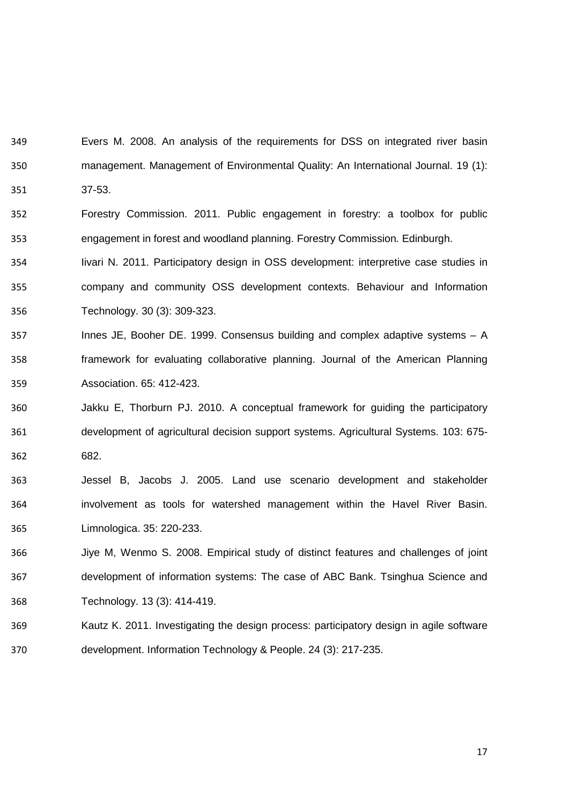Evers M. 2008. An analysis of the requirements for DSS on integrated river basin management. Management of Environmental Quality: An International Journal. 19 (1): 37-53.

 Forestry Commission. 2011. Public engagement in forestry: a toolbox for public engagement in forest and woodland planning. Forestry Commission. Edinburgh.

 Iivari N. 2011. Participatory design in OSS development: interpretive case studies in company and community OSS development contexts. Behaviour and Information Technology. 30 (3): 309-323.

- Innes JE, Booher DE. 1999. Consensus building and complex adaptive systems A framework for evaluating collaborative planning. Journal of the American Planning Association. 65: 412-423.
- Jakku E, Thorburn PJ. 2010. A conceptual framework for guiding the participatory development of agricultural decision support systems. Agricultural Systems. 103: 675- 682.
- Jessel B, Jacobs J. 2005. Land use scenario development and stakeholder involvement as tools for watershed management within the Havel River Basin. Limnologica. 35: 220-233.
- Jiye M, Wenmo S. 2008. Empirical study of distinct features and challenges of joint development of information systems: The case of ABC Bank. Tsinghua Science and Technology. 13 (3): 414-419.
- Kautz K. 2011. Investigating the design process: participatory design in agile software development. Information Technology & People. 24 (3): 217-235.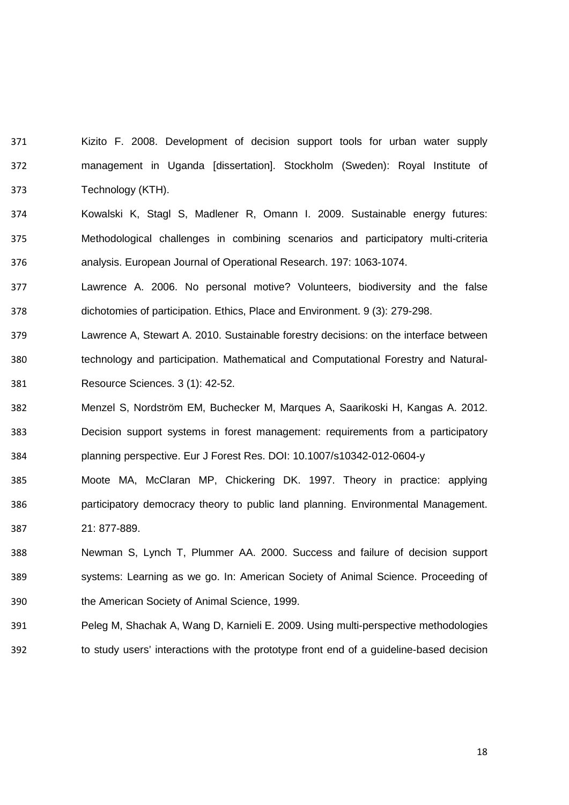Kizito F. 2008. Development of decision support tools for urban water supply management in Uganda [dissertation]. Stockholm (Sweden): Royal Institute of Technology (KTH).

- Kowalski K, Stagl S, Madlener R, Omann I. 2009. Sustainable energy futures: Methodological challenges in combining scenarios and participatory multi-criteria analysis. European Journal of Operational Research. 197: 1063-1074.
- Lawrence A. 2006. No personal motive? Volunteers, biodiversity and the false dichotomies of participation. Ethics, Place and Environment. 9 (3): 279-298.
- Lawrence A, Stewart A. 2010. Sustainable forestry decisions: on the interface between technology and participation. Mathematical and Computational Forestry and Natural-Resource Sciences. 3 (1): 42-52.
- Menzel S, Nordström EM, Buchecker M, Marques A, Saarikoski H, Kangas A. 2012. Decision support systems in forest management: requirements from a participatory planning perspective. Eur J Forest Res. DOI: 10.1007/s10342-012-0604-y
- Moote MA, McClaran MP, Chickering DK. 1997. Theory in practice: applying participatory democracy theory to public land planning. Environmental Management. 21: 877-889.
- Newman S, Lynch T, Plummer AA. 2000. Success and failure of decision support systems: Learning as we go. In: American Society of Animal Science. Proceeding of the American Society of Animal Science, 1999.
- Peleg M, Shachak A, Wang D, Karnieli E. 2009. Using multi-perspective methodologies to study users' interactions with the prototype front end of a guideline-based decision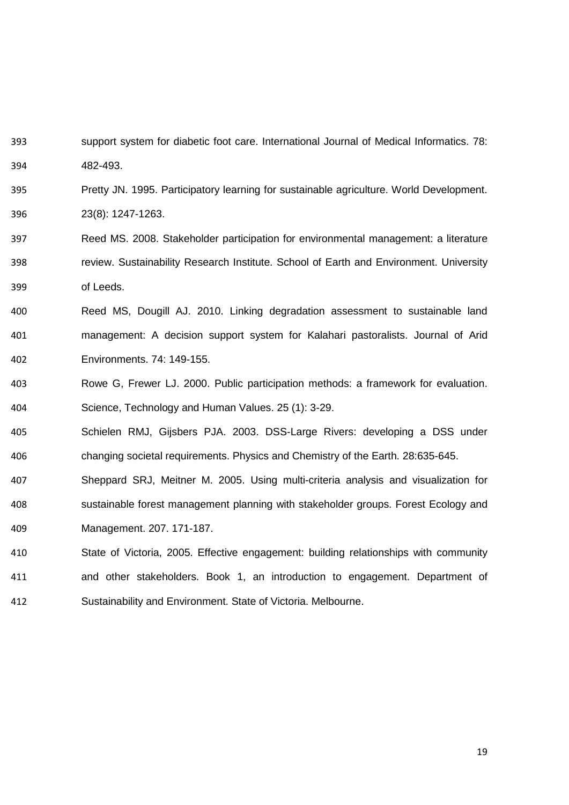- support system for diabetic foot care. International Journal of Medical Informatics. 78: 482-493.
- Pretty JN. 1995. Participatory learning for sustainable agriculture. World Development. 23(8): 1247-1263.
- Reed MS. 2008. Stakeholder participation for environmental management: a literature review. Sustainability Research Institute. School of Earth and Environment. University of Leeds.
- Reed MS, Dougill AJ. 2010. Linking degradation assessment to sustainable land management: A decision support system for Kalahari pastoralists. Journal of Arid Environments. 74: 149-155.
- Rowe G, Frewer LJ. 2000. Public participation methods: a framework for evaluation. Science, Technology and Human Values. 25 (1): 3-29.
- Schielen RMJ, Gijsbers PJA. 2003. DSS-Large Rivers: developing a DSS under changing societal requirements. Physics and Chemistry of the Earth. 28:635-645.
- Sheppard SRJ, Meitner M. 2005. Using multi-criteria analysis and visualization for sustainable forest management planning with stakeholder groups. Forest Ecology and Management. 207. 171-187.
- State of Victoria, 2005. Effective engagement: building relationships with community and other stakeholders. Book 1, an introduction to engagement. Department of Sustainability and Environment. State of Victoria. Melbourne.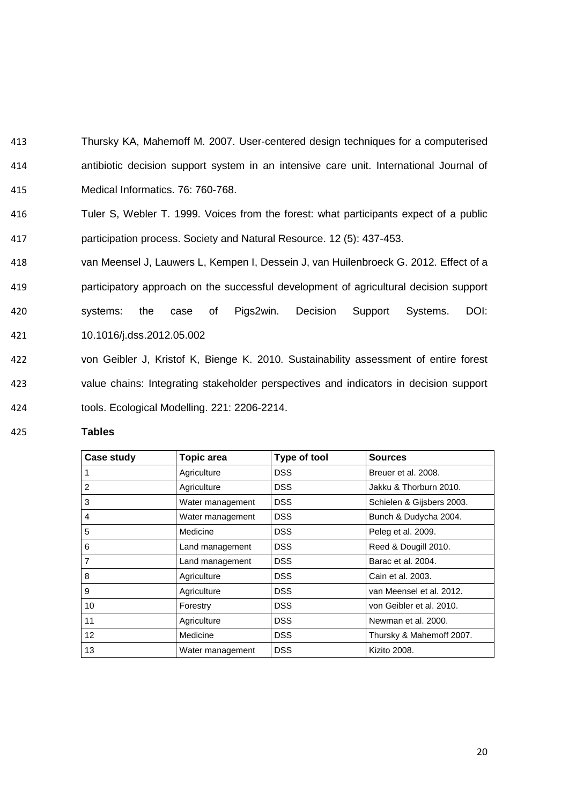Thursky KA, Mahemoff M. 2007. User-centered design techniques for a computerised antibiotic decision support system in an intensive care unit. International Journal of Medical Informatics. 76: 760-768.

- Tuler S, Webler T. 1999. Voices from the forest: what participants expect of a public participation process. Society and Natural Resource. 12 (5): 437-453.
- van Meensel J, Lauwers L, Kempen I, Dessein J, van Huilenbroeck G. 2012. Effect of a participatory approach on the successful development of agricultural decision support systems: the case of Pigs2win. Decision Support Systems. DOI: 10.1016/j.dss.2012.05.002
- von Geibler J, Kristof K, Bienge K. 2010. Sustainability assessment of entire forest value chains: Integrating stakeholder perspectives and indicators in decision support tools. Ecological Modelling. 221: 2206-2214.

**Tables**

| Case study     | <b>Topic area</b> | Type of tool |                           |  |  |
|----------------|-------------------|--------------|---------------------------|--|--|
| 1              | Agriculture       | <b>DSS</b>   | Breuer et al. 2008.       |  |  |
| $\overline{2}$ | Agriculture       | <b>DSS</b>   | Jakku & Thorburn 2010.    |  |  |
| 3              | Water management  | <b>DSS</b>   | Schielen & Gijsbers 2003. |  |  |
| 4              | Water management  | <b>DSS</b>   | Bunch & Dudycha 2004.     |  |  |
| 5              | Medicine          | <b>DSS</b>   | Peleg et al. 2009.        |  |  |
| 6              | Land management   | <b>DSS</b>   | Reed & Dougill 2010.      |  |  |
| 7              | Land management   | <b>DSS</b>   | Barac et al. 2004.        |  |  |
| 8              | Agriculture       | <b>DSS</b>   | Cain et al. 2003.         |  |  |
| 9              | Agriculture       | <b>DSS</b>   | van Meensel et al. 2012.  |  |  |
| 10             | Forestry          | <b>DSS</b>   | von Geibler et al. 2010.  |  |  |
| 11             | Agriculture       | <b>DSS</b>   | Newman et al. 2000.       |  |  |
| 12             | Medicine          | <b>DSS</b>   | Thursky & Mahemoff 2007.  |  |  |
| 13             | Water management  | <b>DSS</b>   | Kizito 2008.              |  |  |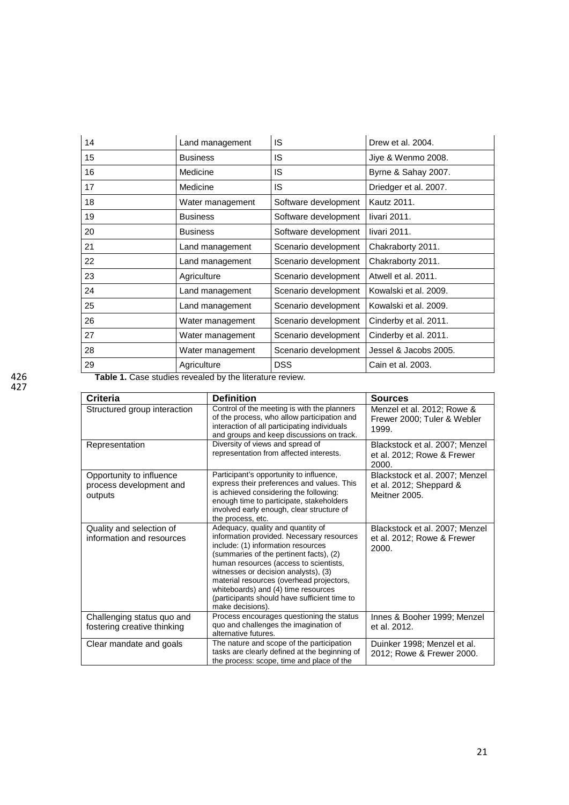| 14 | Land management  | IS                   | Drew et al. 2004.     |
|----|------------------|----------------------|-----------------------|
| 15 | <b>Business</b>  | IS                   | Jiye & Wenmo 2008.    |
| 16 | Medicine         | <b>IS</b>            | Byrne & Sahay 2007.   |
| 17 | Medicine         | IS.                  | Driedger et al. 2007. |
| 18 | Water management | Software development | Kautz 2011.           |
| 19 | <b>Business</b>  | Software development | livari 2011.          |
| 20 | <b>Business</b>  | Software development | livari 2011.          |
| 21 | Land management  | Scenario development | Chakraborty 2011.     |
| 22 | Land management  | Scenario development | Chakraborty 2011.     |
| 23 | Agriculture      | Scenario development | Atwell et al. 2011.   |
| 24 | Land management  | Scenario development | Kowalski et al. 2009. |
| 25 | Land management  | Scenario development | Kowalski et al. 2009. |
| 26 | Water management | Scenario development | Cinderby et al. 2011. |
| 27 | Water management | Scenario development | Cinderby et al. 2011. |
| 28 | Water management | Scenario development | Jessel & Jacobs 2005. |
| 29 | Agriculture      | <b>DSS</b>           | Cain et al. 2003.     |

Table 1. Case studies revealed by the literature review.

| <b>Criteria</b>                                                | <b>Definition</b>                                                                                                                                                                                                                                                                                                                                                                                        | <b>Sources</b>                                                                   |
|----------------------------------------------------------------|----------------------------------------------------------------------------------------------------------------------------------------------------------------------------------------------------------------------------------------------------------------------------------------------------------------------------------------------------------------------------------------------------------|----------------------------------------------------------------------------------|
| Structured group interaction                                   | Control of the meeting is with the planners<br>of the process, who allow participation and<br>interaction of all participating individuals<br>and groups and keep discussions on track.                                                                                                                                                                                                                  | Menzel et al. 2012; Rowe &<br>Frewer 2000; Tuler & Webler<br>1999.               |
| Representation                                                 | Diversity of views and spread of<br>representation from affected interests.                                                                                                                                                                                                                                                                                                                              | Blackstock et al. 2007; Menzel<br>et al. 2012; Rowe & Frewer<br>2000.            |
| Opportunity to influence<br>process development and<br>outputs | Participant's opportunity to influence,<br>express their preferences and values. This<br>is achieved considering the following:<br>enough time to participate, stakeholders<br>involved early enough, clear structure of<br>the process, etc.                                                                                                                                                            | Blackstock et al. 2007; Menzel<br>et al. $2012$ ; Sheppard $\&$<br>Meitner 2005. |
| Quality and selection of<br>information and resources          | Adequacy, quality and quantity of<br>information provided. Necessary resources<br>include: (1) information resources<br>(summaries of the pertinent facts), (2)<br>human resources (access to scientists,<br>witnesses or decision analysts), (3)<br>material resources (overhead projectors,<br>whiteboards) and (4) time resources<br>(participants should have sufficient time to<br>make decisions). | Blackstock et al. 2007; Menzel<br>et al. 2012; Rowe & Frewer<br>2000.            |
| Challenging status quo and<br>fostering creative thinking      | Process encourages questioning the status<br>quo and challenges the imagination of<br>alternative futures.                                                                                                                                                                                                                                                                                               | Innes & Booher 1999; Menzel<br>et al. 2012.                                      |
| Clear mandate and goals                                        | The nature and scope of the participation<br>tasks are clearly defined at the beginning of<br>the process: scope, time and place of the                                                                                                                                                                                                                                                                  | Duinker 1998; Menzel et al.<br>2012; Rowe & Frewer 2000.                         |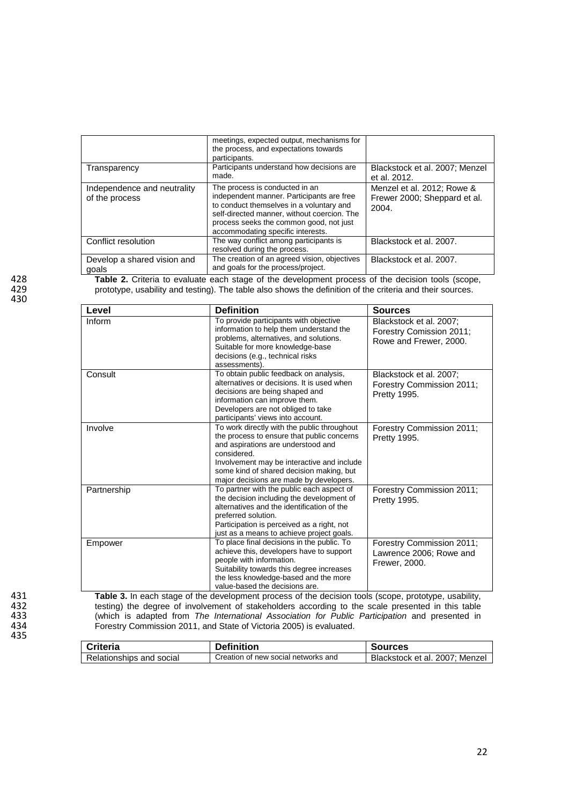|                                               | meetings, expected output, mechanisms for<br>the process, and expectations towards<br>participants.                                                                                                                                                    |                                                                     |
|-----------------------------------------------|--------------------------------------------------------------------------------------------------------------------------------------------------------------------------------------------------------------------------------------------------------|---------------------------------------------------------------------|
| Transparency                                  | Participants understand how decisions are<br>made.                                                                                                                                                                                                     | Blackstock et al. 2007; Menzel<br>et al. 2012.                      |
| Independence and neutrality<br>of the process | The process is conducted in an<br>independent manner. Participants are free<br>to conduct themselves in a voluntary and<br>self-directed manner, without coercion. The<br>process seeks the common good, not just<br>accommodating specific interests. | Menzel et al. 2012; Rowe &<br>Frewer 2000; Sheppard et al.<br>2004. |
| Conflict resolution                           | The way conflict among participants is<br>resolved during the process.                                                                                                                                                                                 | Blackstock et al. 2007.                                             |
| Develop a shared vision and<br>goals          | The creation of an agreed vision, objectives<br>and goals for the process/project.                                                                                                                                                                     | Blackstock et al. 2007.                                             |

| Level       | <b>Definition</b>                                                                                                                                                                                                                                                                   | <b>Sources</b>                                                                |
|-------------|-------------------------------------------------------------------------------------------------------------------------------------------------------------------------------------------------------------------------------------------------------------------------------------|-------------------------------------------------------------------------------|
| Inform      | To provide participants with objective<br>information to help them understand the<br>problems, alternatives, and solutions.<br>Suitable for more knowledge-base<br>decisions (e.g., technical risks<br>assessments).                                                                | Blackstock et al. 2007;<br>Forestry Comission 2011;<br>Rowe and Frewer, 2000. |
| Consult     | To obtain public feedback on analysis,<br>alternatives or decisions. It is used when<br>decisions are being shaped and<br>information can improve them.<br>Developers are not obliged to take<br>participants' views into account.                                                  | Blackstock et al. 2007;<br>Forestry Commission 2011;<br>Pretty 1995.          |
| Involve     | To work directly with the public throughout<br>the process to ensure that public concerns<br>and aspirations are understood and<br>considered.<br>Involvement may be interactive and include<br>some kind of shared decision making, but<br>major decisions are made by developers. | Forestry Commission 2011;<br>Pretty 1995.                                     |
| Partnership | To partner with the public each aspect of<br>the decision including the development of<br>alternatives and the identification of the<br>preferred solution.<br>Participation is perceived as a right, not<br>just as a means to achieve project goals.                              | Forestry Commission 2011;<br>Pretty 1995.                                     |
| Empower     | To place final decisions in the public. To<br>achieve this, developers have to support<br>people with information.<br>Suitability towards this degree increases<br>the less knowledge-based and the more<br>value-based the decisions are.                                          | Forestry Commission 2011;<br>Lawrence 2006; Rowe and<br>Frewer, 2000.         |

**Table 3.** In each stage of the development process of the decision tools (scope, prototype, usability, Table 3. In each stage of the development process of the decision tools (scope, prototype, usability, testing) the degree of involvement of stakeholders according to the scale presented in this table (which is adapted from 433 (which is adapted from *The International Association for Public Participation* and presented in Forestry Commission 2011, and State of Victoria 2005) is evaluated.

| <b>Criteria</b>          | <b>Definition</b>                   | <b>Sources</b>                 |
|--------------------------|-------------------------------------|--------------------------------|
| Relationships and social | Creation of new social networks and | Blackstock et al. 2007: Menzel |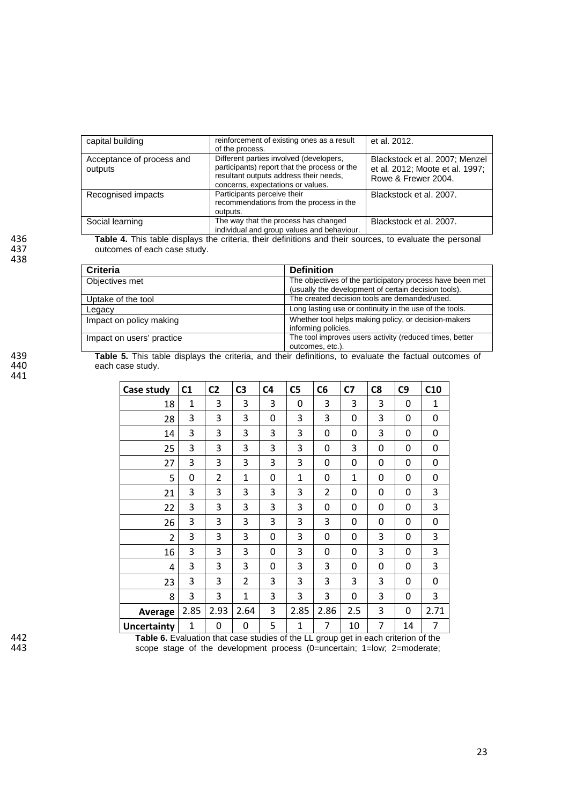| capital building                     | reinforcement of existing ones as a result<br>of the process.                                                                                                          | et al. 2012.                                                                             |
|--------------------------------------|------------------------------------------------------------------------------------------------------------------------------------------------------------------------|------------------------------------------------------------------------------------------|
| Acceptance of process and<br>outputs | Different parties involved (developers,<br>participants) report that the process or the<br>resultant outputs address their needs,<br>concerns, expectations or values. | Blackstock et al. 2007; Menzel<br>et al. 2012; Moote et al. 1997;<br>Rowe & Frewer 2004. |
| Recognised impacts                   | Participants perceive their<br>recommendations from the process in the<br>outputs.                                                                                     | Blackstock et al. 2007.                                                                  |
| Social learning                      | The way that the process has changed<br>individual and group values and behaviour.                                                                                     | Blackstock et al. 2007.                                                                  |

436 **Table 4.** This table displays the criteria, their definitions and their sources, to evaluate the personal

| 437<br>438 | outcomes of each case study. |
|------------|------------------------------|
|            | <b>Criteria</b>              |
|            | Objectives met               |
|            | .                            |

| <b>Criteria</b>           | <b>Definition</b>                                         |  |  |
|---------------------------|-----------------------------------------------------------|--|--|
| Objectives met            | The objectives of the participatory process have been met |  |  |
|                           | (usually the development of certain decision tools).      |  |  |
| Uptake of the tool        | The created decision tools are demanded/used.             |  |  |
| Legacy                    | Long lasting use or continuity in the use of the tools.   |  |  |
| Impact on policy making   | Whether tool helps making policy, or decision-makers      |  |  |
|                           | informing policies.                                       |  |  |
| Impact on users' practice | The tool improves users activity (reduced times, better   |  |  |
|                           | outcomes, etc.).                                          |  |  |

439 **Table 5.** This table displays the criteria, and their definitions, to evaluate the factual outcomes of 440 each case study.

| Case study                                          | C1           | C <sub>2</sub> | C <sub>3</sub> | C <sub>4</sub> | C <sub>5</sub>                                            | C <sub>6</sub> | C <sub>7</sub>                                  | C <sub>8</sub> | C <sub>9</sub>                | C10                       |
|-----------------------------------------------------|--------------|----------------|----------------|----------------|-----------------------------------------------------------|----------------|-------------------------------------------------|----------------|-------------------------------|---------------------------|
| 18                                                  | $\mathbf{1}$ | 3              | 3              | 3              | 0                                                         | 3              | 3                                               | 3              | 0                             | 1                         |
| 28                                                  | 3            | 3              | 3              | 0              | 3                                                         | 3              | 0                                               | 3              | 0                             | 0                         |
| 14                                                  | 3            | 3              | 3              | 3              | 3                                                         | 0              | 0                                               | 3              | 0                             | 0                         |
| 25                                                  | 3            | 3              | 3              | 3              | 3                                                         | 0              | 3                                               | 0              | 0                             | 0                         |
| 27                                                  | 3            | 3              | 3              | 3              | 3                                                         | 0              | 0                                               | 0              | 0                             | 0                         |
| 5                                                   | 0            | 2              | 1              | 0              | $\mathbf{1}$                                              | 0              | 1                                               | 0              | 0                             | 0                         |
| 21                                                  | 3            | 3              | 3              | 3              | 3                                                         | $\overline{2}$ | 0                                               | 0              | 0                             | 3                         |
| 22                                                  | 3            | 3              | 3              | 3              | 3                                                         | 0              | 0                                               | 0              | 0                             | 3                         |
| 26                                                  | 3            | 3              | 3              | 3              | 3                                                         | 3              | 0                                               | 0              | 0                             | 0                         |
| $\overline{2}$                                      | 3            | 3              | 3              | 0              | 3                                                         | 0              | 0                                               | 3              | 0                             | 3                         |
| 16                                                  | 3            | 3              | 3              | 0              | 3                                                         | 0              | 0                                               | 3              | 0                             | 3                         |
| 4                                                   | 3            | 3              | 3              | 0              | 3                                                         | 3              | 0                                               | 0              | 0                             | 3                         |
| 23                                                  | 3            | 3              | $\overline{2}$ | 3              | 3                                                         | 3              | 3                                               | 3              | 0                             | 0                         |
| 8                                                   | 3            | 3              | $\mathbf{1}$   | 3              | 3                                                         | 3              | 0                                               | 3              | 0                             | 3                         |
| Average                                             | 2.85         | 2.93           | 2.64           | 3              | 2.85                                                      | 2.86           | 2.5                                             | 3              | 0                             | 2.71                      |
| <b>Uncertainty</b><br>$-11$ . A $-11$ . A set $-11$ | 1            | 0              | 0              | 5              | $\mathbf{1}$<br>$\sim$ $\sim$ $\sim$ $\sim$ $\sim$ $\sim$ | 7              | 10<br>the contract of the state of the contract | 7              | 14<br>the control of the con- | 7<br>$\sim$ $\sim$ $\sim$ |

Table 6. Evaluation that case studies of the LL group get in each criterion of the<br>scope stage of the development process (0=uncertain; 1=low; 2=moderate; scope stage of the development process (0=uncertain; 1=low; 2=moderate;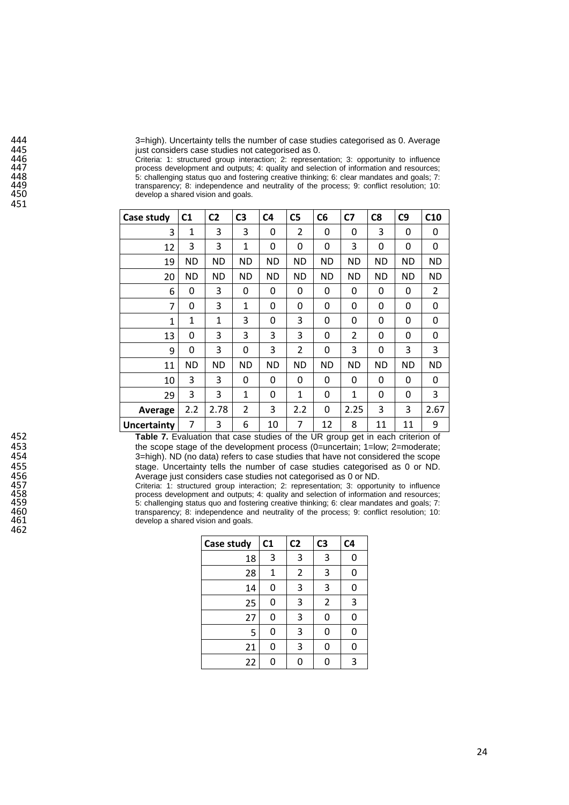| 444 | 3-high). Uncertainty tells the number of case studies categorised as 0. Average |
|-----|---------------------------------------------------------------------------------|
| 445 | just considers case studies not categorised as 0.                               |

 Criteria: 1: structured group interaction; 2: representation; 3: opportunity to influence process development and outputs; 4: quality and selection of information and resources; 5: challenging status quo and fostering creative thinking; 6: clear mandates and goals; 7: 3=ingn). Oncertainty tens the humber of case studies categorised as 0. Average<br>
1445 just considers case studies not categorised as 0.<br>
Criteria: 1: structured group interaction; 2: representation; 3: opportunity to influe develop a shared vision and goals.

| Case study         | C <sub>1</sub> | C <sub>2</sub> | C <sub>3</sub> | C <sub>4</sub> | C5           | C <sub>6</sub> | C7           | C <sub>8</sub> | C <sub>9</sub> | C <sub>10</sub> |
|--------------------|----------------|----------------|----------------|----------------|--------------|----------------|--------------|----------------|----------------|-----------------|
| 3                  | $\mathbf{1}$   | 3              | 3              | 0              | 2            | 0              | 0            | 3              | 0              | 0               |
| 12                 | 3              | 3              | $\mathbf{1}$   | 0              | 0            | 0              | 3            | 0              | 0              | 0               |
| 19                 | <b>ND</b>      | ΝD             | <b>ND</b>      | <b>ND</b>      | <b>ND</b>    | <b>ND</b>      | <b>ND</b>    | ND             | ΝD             | <b>ND</b>       |
| 20                 | <b>ND</b>      | <b>ND</b>      | <b>ND</b>      | <b>ND</b>      | <b>ND</b>    | <b>ND</b>      | <b>ND</b>    | <b>ND</b>      | <b>ND</b>      | <b>ND</b>       |
| 6                  | 0              | 3              | 0              | 0              | 0            | 0              | 0            | 0              | 0              | $\overline{2}$  |
| 7                  | 0              | 3              | $\mathbf{1}$   | 0              | 0            | 0              | 0            | 0              | 0              | 0               |
| 1                  | 1              | $\mathbf{1}$   | 3              | 0              | 3            | 0              | 0            | 0              | 0              | 0               |
| 13                 | 0              | 3              | 3              | 3              | 3            | 0              | 2            | 0              | 0              | 0               |
| 9                  | 0              | 3              | 0              | 3              | 2            | 0              | 3            | 0              | 3              | 3               |
| 11                 | <b>ND</b>      | <b>ND</b>      | <b>ND</b>      | <b>ND</b>      | <b>ND</b>    | <b>ND</b>      | <b>ND</b>    | <b>ND</b>      | <b>ND</b>      | <b>ND</b>       |
| 10                 | 3              | 3              | 0              | 0              | 0            | 0              | $\mathbf{0}$ | 0              | 0              | 0               |
| 29                 | 3              | 3              | $\mathbf{1}$   | 0              | $\mathbf{1}$ | 0              | $\mathbf{1}$ | 0              | 0              | 3               |
| <b>Average</b>     | 2.2            | 2.78           | $\overline{2}$ | 3              | 2.2          | 0              | 2.25         | 3              | 3              | 2.67            |
| <b>Uncertainty</b> | 7              | 3              | 6              | 10             | 7            | 12             | 8            | 11             | 11             | 9               |

Table 7. Evaluation that case studies of the UR group get in each criterion of<br>453 the scope stage of the development process (0=uncertain; 1=low; 2=moderate;<br>454 3=high). ND (no data) refers to case studies that have not the scope stage of the development process (0=uncertain; 1=low; 2=moderate; 3=high). ND (no data) refers to case studies that have not considered the scope stage. Uncertainty tells the number of case studies categorised as 0 or ND. Average just considers case studies not categorised as 0 or ND.

Criteria: 1: structured group interaction; 2: representation; 3: opportunity to influence process development and outputs; 4: quality and selection of information and resources; 5: challenging status quo and fostering creative thinking; 6: clear mandates and goals; 7: 460 transparency; 8: independence and neutrality of the process; 9: conflict resolution; 10:<br>461 develop a shared vision and goals. develop a shared vision and goals.

| Case study | C1 | C <sub>2</sub> | C <sub>3</sub> | C <sub>4</sub> |
|------------|----|----------------|----------------|----------------|
| 18         | 3  | 3              | 3              | 0              |
| 28         | 1  | $\overline{2}$ | 3              | 0              |
| 14         | 0  | 3              | 3              | 0              |
| 25         | 0  | 3              | $\overline{2}$ | 3              |
| 27         | 0  | 3              | 0              | 0              |
| 5          | 0  | 3              | 0              | 0              |
| 21         | 0  | 3              | 0              | 0              |
| 22         | 0  | 0              | 0              | 3              |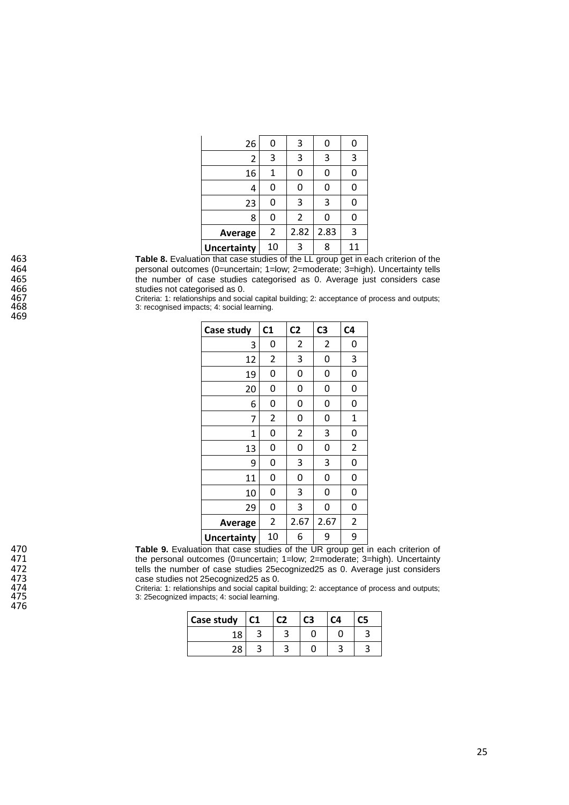| 26                 | 0              | 3    | 0    | ი  |
|--------------------|----------------|------|------|----|
| $\overline{2}$     | 3              | 3    | 3    | 3  |
| 16                 | 1              | 0    | 0    | O  |
| 4                  | 0              | 0    | 0    | 0  |
| 23                 | 0              | 3    | 3    | 0  |
| 8                  | 0              | 2    | 0    | 0  |
| <b>Average</b>     | $\overline{2}$ | 2.82 | 2.83 | 3  |
| <b>Uncertainty</b> | 10             | 3    | 8    | 11 |

 **Table 8.** Evaluation that case studies of the LL group get in each criterion of the 464 personal outcomes (0=uncertain; 1=low; 2=moderate; 3=high). Uncertainty tells<br>465 the number of case studies categorised as 0. Average just considers case 465 the number of case studies categorised as 0. Average just considers case<br>466 studies not categorised as 0.<br>467 criteria: 1: relationships and social capital building; 2: acceptance of process and outputs; studies not categorised as 0.

 Criteria: 1: relationships and social capital building; 2: acceptance of process and outputs; 3: recognised impacts; 4: social learning.

| Case study         | C1             | C <sub>2</sub> | C <sub>3</sub> | C <sub>4</sub> |  |
|--------------------|----------------|----------------|----------------|----------------|--|
| 3                  | 0              | $\overline{2}$ | $\overline{2}$ | 0              |  |
| 12                 | $\overline{c}$ | 3              | 0              | 3              |  |
| 19                 | 0              | 0              | 0              | 0              |  |
| 20                 | 0              | 0              | 0              | 0              |  |
| 6                  | 0              | 0              | 0              | 0              |  |
| 7                  | $\overline{2}$ | 0              | 0              | $\mathbf{1}$   |  |
| 1                  | 0              | $\overline{2}$ | 3              | 0              |  |
| 13                 | 0              | 0              | 0              | $\overline{2}$ |  |
| 9                  | 0              | 3              | 3              | 0              |  |
| 11                 | 0              | 0              | 0              | 0              |  |
| 10                 | 0              | 3              | 0              | 0              |  |
| 29                 | 0              | 3              | 0              | 0              |  |
| <b>Average</b>     | $\overline{2}$ | 2.67           | 2.67           | $\overline{2}$ |  |
| <b>Uncertainty</b> | 10             | 6              | 9              | 9              |  |

Table 9. Evaluation that case studies of the UR group get in each criterion of the personal outcomes (0=uncertain; 1=low; 2=moderate; 3=high). Uncertainty tells the number of case studies 25ecognized25 as 0. Average just considers case studies not 25ecognized25 as 0.

 Criteria: 1: relationships and social capital building; 2: acceptance of process and outputs; 3: 25ecognized impacts; 4: social learning.

| Case study |  | ^⊿ |  |
|------------|--|----|--|
| 1 O        |  |    |  |
| ົດ         |  |    |  |

470<br>471<br>472<br>474<br>475<br>476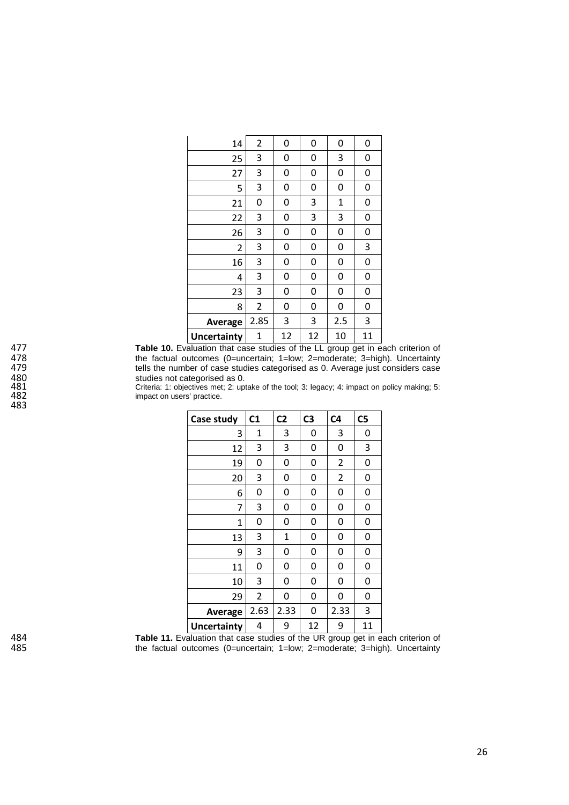| 14                 | $\overline{2}$ | 0  | 0  | 0           | 0  |
|--------------------|----------------|----|----|-------------|----|
| 25                 | 3              | 0  | 0  | 3           | 0  |
| 27                 | 3              | 0  | 0  | 0           | 0  |
| 5                  | 3              | 0  | 0  | 0           | 0  |
| 21                 | 0              | 0  | 3  | $\mathbf 1$ | 0  |
| 22                 | 3              | 0  | 3  | 3           | 0  |
| 26                 | 3              | 0  | 0  | 0           | 0  |
| 2                  | 3              | 0  | 0  | 0           | 3  |
| 16                 | 3              | 0  | 0  | 0           | 0  |
| 4                  | 3              | 0  | 0  | 0           | 0  |
| 23                 | 3              | 0  | 0  | 0           | 0  |
| 8                  | $\overline{2}$ | 0  | 0  | 0           | 0  |
| <b>Average</b>     | 2.85           | 3  | 3  | 2.5         | 3  |
| <b>Uncertainty</b> | 1              | 12 | 12 | 10          | 11 |

**Table 10.** Evaluation that case studies of the LL group get in each criterion of<br>478 the factual outcomes (0=uncertain; 1=low; 2=moderate; 3=high). Uncertainty<br>479 tells the number of case studies categorised as 0. Avera the factual outcomes (0=uncertain; 1=low; 2=moderate; 3=high). Uncertainty tells the number of case studies categorised as 0. Average just considers case studies not categorised as 0.

 Criteria: 1: objectives met; 2: uptake of the tool; 3: legacy; 4: impact on policy making; 5: **impact on users'** practice.

| Case study         | C1   | C <sub>2</sub> | C <sub>3</sub> | C <sub>4</sub> | C <sub>5</sub> |
|--------------------|------|----------------|----------------|----------------|----------------|
| 3                  | 1    | 3              | 0              | 3              | 0              |
| 12                 | 3    | 3              | 0              | 0              | 3              |
| 19                 | 0    | 0              | 0              | $\overline{2}$ | 0              |
| 20                 | 3    | 0              | 0              | $\overline{2}$ | 0              |
| 6                  | 0    | 0              | 0              | 0              | 0              |
| 7                  | 3    | 0              | 0              | 0              | 0              |
| 1                  | 0    | 0              | 0              | 0              | 0              |
| 13                 | 3    | $\mathbf 1$    | 0              | 0              | 0              |
| 9                  | 3    | 0              | 0              | 0              | 0              |
| 11                 | 0    | 0              | 0              | 0              | 0              |
| 10                 | 3    | 0              | 0              | 0              | 0              |
| 29                 | 2    | 0              | 0              | 0              | 0              |
| Average            | 2.63 | 2.33           | 0              | 2.33           | 3              |
| <b>Uncertainty</b> | 4    | 9              | 12             | 9              | 11             |

**Table 11.** Evaluation that case studies of the UR group get in each criterion of 485 the factual outcomes (0=uncertain; 1=low; 2=moderate; 3=high). Uncertainty the factual outcomes (0=uncertain; 1=low; 2=moderate; 3=high). Uncertainty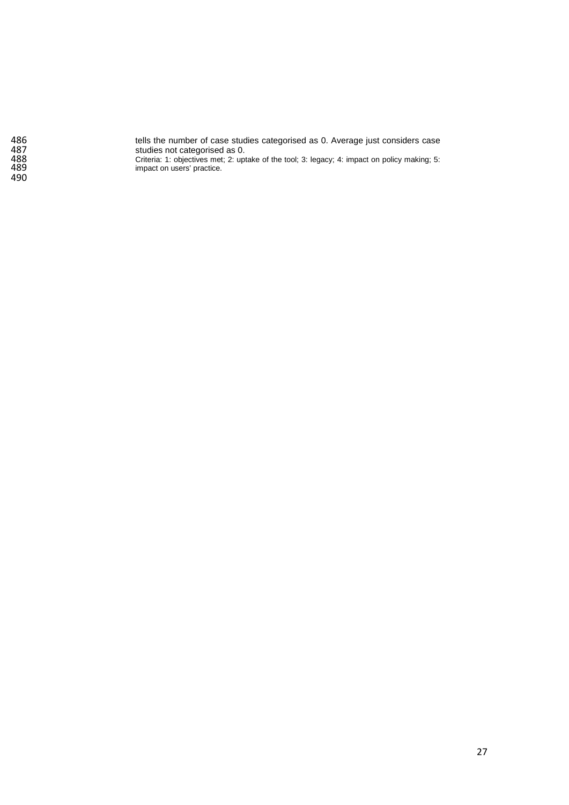

486 tells the number of case studies categorised as 0. Average just considers case studies not categorised as 0.

 Criteria: 1: objectives met; 2: uptake of the tool; 3: legacy; 4: impact on policy making; 5: **impact on users'** practice.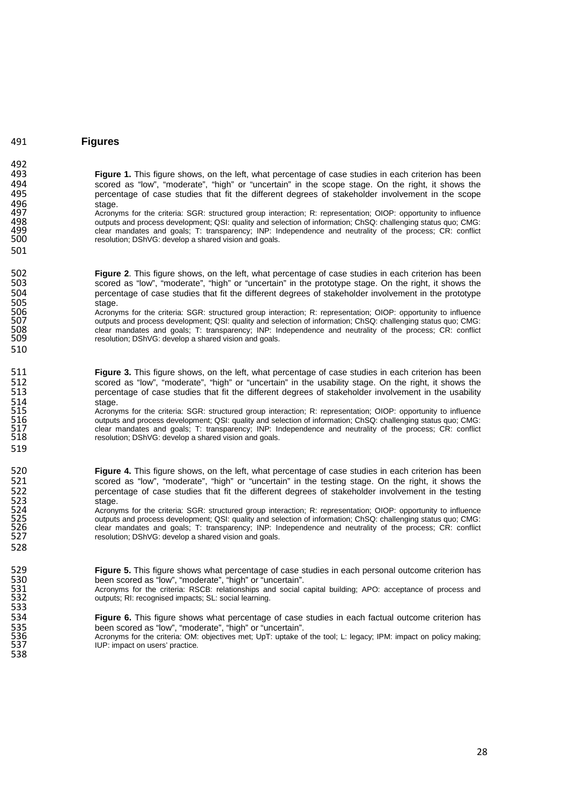# 491 **Figures**

492<br>493

501

510

513<br>514<br>515

519

521<br>522<br>523<br>524<br>525

528

533<br>534

538

493 **Figure 1.** This figure shows, on the left, what percentage of case studies in each criterion has been<br>494 scored as "low", "moderate", "high" or "uncertain" in the scope stage. On the right, it shows the 494 scored as "low", "moderate", "high" or "uncertain" in the scope stage. On the right, it shows the<br>495 sercentage of case studies that fit the different degrees of stakeholder involvement in the scope 495 percentage of case studies that fit the different degrees of stakeholder involvement in the scope<br>496 stage. 496 stage.<br>497 Acrony

497 Acronyms for the criteria: SGR: structured group interaction; R: representation; OIOP: opportunity to influence<br>498 cutputs and process development; QSI: quality and selection of information; ChSQ: challenging status q 498 outputs and process development; QSI: quality and selection of information; ChSQ: challenging status quo; CMG:<br>499 clear mandates and goals: T: transparency; INP: Independence and neutrality of the process; CR: conflic 499 clear mandates and goals; T: transparency; INP: Independence and neutrality of the process; CR: conflict 500 resolution; DShVG: develop a shared vision and goals.

502 **Figure 2**. This figure shows, on the left, what percentage of case studies in each criterion has been<br>503 scored as "low", "moderate", "high" or "uncertain" in the prototype stage. On the right, it shows the 503 scored as "low", "moderate", "high" or "uncertain" in the prototype stage. On the right, it shows the<br>504 percentage of case studies that fit the different degrees of stakeholder involvement in the prototype 504 percentage of case studies that fit the different degrees of stakeholder involvement in the prototype<br>505 stage.

505 stage.<br>506 **stage.** 506 Acronyms for the criteria: SGR: structured group interaction; R: representation; OIOP: opportunity to influence<br>507 outputs and process development; QSI: quality and selection of information; ChSQ: challenging status q 507 outputs and process development; QSI: quality and selection of information; ChSQ: challenging status quo; CMG:<br>508 clear mandates and goals; T: transparency; INP: Independence and neutrality of the process; CR: conflic 508 clear mandates and goals; T: transparency; INP: Independence and neutrality of the process; CR: conflict resolution; DShVG: develop a shared vision and goals.

511 **Figure 3.** This figure shows, on the left, what percentage of case studies in each criterion has been<br>512 scored as "low", "moderate", "high" or "uncertain" in the usability stage. On the right, it shows the scored as "low", "moderate", "high" or "uncertain" in the usability stage. On the right, it shows the percentage of case studies that fit the different degrees of stakeholder involvement in the usability stage.

515 Acronyms for the criteria: SGR: structured group interaction; R: representation; OIOP: opportunity to influence<br>516 outputs and process development; QSI: quality and selection of information; ChSQ: challenging status q 516 outputs and process development; QSI: quality and selection of information; ChSQ: challenging status quo; CMG:<br>517 clear mandates and goals; T: transparency; INP: Independence and neutrality of the process; CR: conflic 517 clear mandates and goals; T: transparency; INP: Independence and neutrality of the process; CR: conflict<br>518 cresolution: DShVG: develop a shared vision and goals. resolution: DShVG: develop a shared vision and goals.

520 **Figure 4.** This figure shows, on the left, what percentage of case studies in each criterion has been scored as "low", "moderate", "high" or "uncertain" in the testing stage. On the right, it shows the percentage of case studies that fit the different degrees of stakeholder involvement in the testing<br>stage.

524 Acronyms for the criteria: SGR: structured group interaction; R: representation; OIOP: opportunity to influence 525 outputs and process development; QSI: quality and selection of information; ChSQ: challenging status quo; CMG: 526 clear mandates and goals; T: transparency; INP: Independence and neutrality of the process; CR: conflict 527 resolution; DShVG: develop a shared vision and goals.

Figure 5. This figure shows what percentage of case studies in each personal outcome criterion has<br>530 been scored as "low", "moderate", "high" or "uncertain".<br>531 Acronyms for the criteria: RSCB: relationships and social been scored as "low", "moderate", "high" or "uncertain".

Acronyms for the criteria: RSCB: relationships and social capital building; APO: acceptance of process and outputs; RI: recognised impacts; SL: social learning.

534 **Figure 6.** This figure shows what percentage of case studies in each factual outcome criterion has 535 535 been scored as "low", "moderate", "high" or "uncertain". 536 Acronyms for the criteria: OM: objectives met; UpT: uptake of the tool; L: legacy; IPM: impact on policy making;

537 IUP: impact on users' practice.